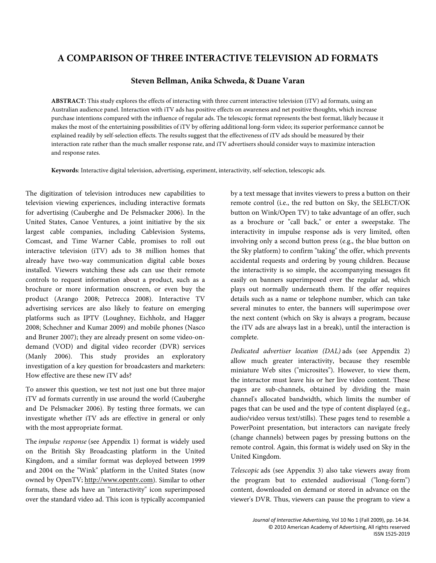# **A COMPARISON OF THREE INTERACTIVE TELEVISION AD FORMATS**

**Steven Bellman, Anika Schweda, & Duane Varan** 

**ABSTRACT:** This study explores the effects of interacting with three current interactive television (iTV) ad formats, using an Australian audience panel. Interaction with iTV ads has positive effects on awareness and net positive thoughts, which increase purchase intentions compared with the influence of regular ads. The telescopic format represents the best format, likely because it makes the most of the entertaining possibilities of iTV by offering additional long-form video; its superior performance cannot be explained readily by self-selection effects. The results suggest that the effectiveness of iTV ads should be measured by their interaction rate rather than the much smaller response rate, and iTV advertisers should consider ways to maximize interaction and response rates.

**Keywords**: Interactive digital television, advertising, experiment, interactivity, self-selection, telescopic ads.

The digitization of television introduces new capabilities to television viewing experiences, including interactive formats for advertising (Cauberghe and De Pelsmacker 2006). In the United States, Canoe Ventures, a joint initiative by the six largest cable companies, including Cablevision Systems, Comcast, and Time Warner Cable, promises to roll out interactive television (iTV) ads to 38 million homes that already have two-way communication digital cable boxes installed. Viewers watching these ads can use their remote controls to request information about a product, such as a brochure or more information onscreen, or even buy the product (Arango 2008; Petrecca 2008). Interactive TV advertising services are also likely to feature on emerging platforms such as IPTV (Loughney, Eichholz, and Hagger 2008; Schechner and Kumar 2009) and mobile phones (Nasco and Bruner 2007); they are already present on some video-ondemand (VOD) and digital video recorder (DVR) services (Manly 2006). This study provides an exploratory investigation of a key question for broadcasters and marketers: How effective are these new iTV ads?

To answer this question, we test not just one but three major iTV ad formats currently in use around the world (Cauberghe and De Pelsmacker 2006). By testing three formats, we can investigate whether iTV ads are effective in general or only with the most appropriate format.

The *impulse response* (see Appendix 1) format is widely used on the British Sky Broadcasting platform in the United Kingdom, and a similar format was deployed between 1999 and 2004 on the "Wink" platform in the United States (now owned by OpenTV; [http://www.opentv.com\)](http://www.opentv.com/). Similar to other formats, these ads have an "interactivity" icon superimposed over the standard video ad. This icon is typically accompanied

by a text message that invites viewers to press a button on their remote control (i.e., the red button on Sky, the SELECT/OK button on Wink/Open TV) to take advantage of an offer, such as a brochure or "call back," or enter a sweepstake. The interactivity in impulse response ads is very limited, often involving only a second button press (e.g., the blue button on the Sky platform) to confirm "taking" the offer, which prevents accidental requests and ordering by young children. Because the interactivity is so simple, the accompanying messages fit easily on banners superimposed over the regular ad, which plays out normally underneath them. If the offer requires details such as a name or telephone number, which can take several minutes to enter, the banners will superimpose over the next content (which on Sky is always a program, because the iTV ads are always last in a break), until the interaction is complete.

*Dedicated advertiser location (DAL)* ads (see Appendix 2) allow much greater interactivity, because they resemble miniature Web sites ("microsites"). However, to view them, the interactor must leave his or her live video content. These pages are sub-channels, obtained by dividing the main channel's allocated bandwidth, which limits the number of pages that can be used and the type of content displayed (e.g., audio/video versus text/stills). These pages tend to resemble a PowerPoint presentation, but interactors can navigate freely (change channels) between pages by pressing buttons on the remote control. Again, this format is widely used on Sky in the United Kingdom.

*Telescopic* ads (see Appendix 3) also take viewers away from the program but to extended audiovisual ("long-form") content, downloaded on demand or stored in advance on the viewer's DVR. Thus, viewers can pause the program to view a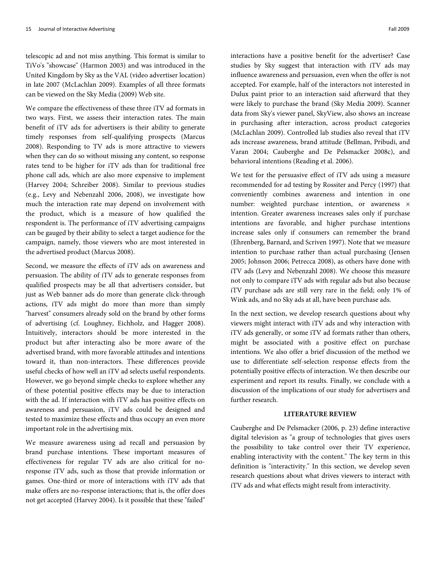telescopic ad and not miss anything. This format is similar to TiVo's "showcase" (Harmon 2003) and was introduced in the United Kingdom by Sky as the VAL (video advertiser location) in late 2007 (McLachlan 2009). Examples of all three formats can be viewed on the Sky Media (2009) Web site.

We compare the effectiveness of these three iTV ad formats in two ways. First, we assess their interaction rates. The main benefit of iTV ads for advertisers is their ability to generate timely responses from self-qualifying prospects (Marcus 2008). Responding to TV ads is more attractive to viewers when they can do so without missing any content, so response rates tend to be higher for iTV ads than for traditional free phone call ads, which are also more expensive to implement (Harvey 2004; Schreiber 2008). Similar to previous studies (e.g., Levy and Nebenzahl 2006, 2008), we investigate how much the interaction rate may depend on involvement with the product, which is a measure of how qualified the respondent is. The performance of iTV advertising campaigns can be gauged by their ability to select a target audience for the campaign, namely, those viewers who are most interested in the advertised product (Marcus 2008).

Second, we measure the effects of iTV ads on awareness and persuasion. The ability of iTV ads to generate responses from qualified prospects may be all that advertisers consider, but just as Web banner ads do more than generate click-through actions, iTV ads might do more than more than simply "harvest" consumers already sold on the brand by other forms of advertising (cf. Loughney, Eichholz, and Hagger 2008). Intuitively, interactors should be more interested in the product but after interacting also be more aware of the advertised brand, with more favorable attitudes and intentions toward it, than non-interactors. These differences provide useful checks of how well an iTV ad selects useful respondents. However, we go beyond simple checks to explore whether any of these potential positive effects may be due to interaction with the ad. If interaction with iTV ads has positive effects on awareness and persuasion, iTV ads could be designed and tested to maximize these effects and thus occupy an even more important role in the advertising mix.

We measure awareness using ad recall and persuasion by brand purchase intentions. These important measures of effectiveness for regular TV ads are also critical for noresponse iTV ads, such as those that provide information or games. One-third or more of interactions with iTV ads that make offers are no-response interactions; that is, the offer does not get accepted (Harvey 2004). Is it possible that these "failed"

interactions have a positive benefit for the advertiser? Case studies by Sky suggest that interaction with iTV ads may influence awareness and persuasion, even when the offer is not accepted. For example, half of the interactors not interested in Dulux paint prior to an interaction said afterward that they were likely to purchase the brand (Sky Media 2009). Scanner data from Sky's viewer panel, SkyView, also shows an increase in purchasing after interaction, across product categories (McLachlan 2009). Controlled lab studies also reveal that iTV ads increase awareness, brand attitude (Bellman, Pribudi, and Varan 2004; Cauberghe and De Pelsmacker 2008c), and behavioral intentions (Reading et al. 2006).

We test for the persuasive effect of iTV ads using a measure recommended for ad testing by Rossiter and Percy (1997) that conveniently combines awareness and intention in one number: weighted purchase intention, or awareness  $\times$ intention. Greater awareness increases sales only if purchase intentions are favorable, and higher purchase intentions increase sales only if consumers can remember the brand (Ehrenberg, Barnard, and Scriven 1997). Note that we measure intention to purchase rather than actual purchasing (Jensen 2005; Johnson 2006; Petrecca 2008), as others have done with iTV ads (Levy and Nebenzahl 2008). We choose this measure not only to compare iTV ads with regular ads but also because iTV purchase ads are still very rare in the field; only 1% of Wink ads, and no Sky ads at all, have been purchase ads.

In the next section, we develop research questions about why viewers might interact with iTV ads and why interaction with iTV ads generally, or some iTV ad formats rather than others, might be associated with a positive effect on purchase intentions. We also offer a brief discussion of the method we use to differentiate self-selection response effects from the potentially positive effects of interaction. We then describe our experiment and report its results. Finally, we conclude with a discussion of the implications of our study for advertisers and further research.

# **LITERATURE REVIEW**

Cauberghe and De Pelsmacker (2006, p. 23) define interactive digital television as "a group of technologies that gives users the possibility to take control over their TV experience, enabling interactivity with the content." The key term in this definition is "interactivity." In this section, we develop seven research questions about what drives viewers to interact with iTV ads and what effects might result from interactivity.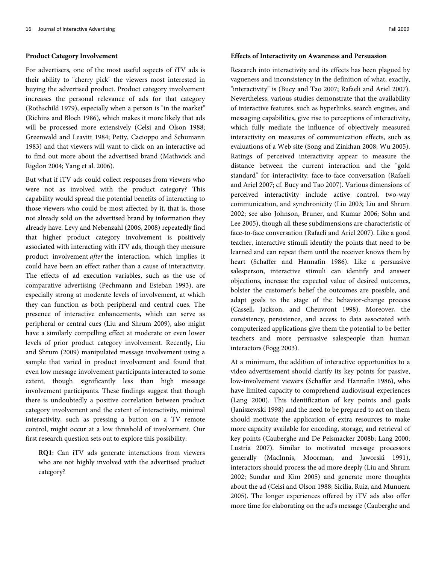#### **Product Category Involvement**

For advertisers, one of the most useful aspects of iTV ads is their ability to "cherry pick" the viewers most interested in buying the advertised product. Product category involvement increases the personal relevance of ads for that category (Rothschild 1979), especially when a person is "in the market" (Richins and Bloch 1986), which makes it more likely that ads will be processed more extensively (Celsi and Olson 1988; Greenwald and Leavitt 1984; Petty, Cacioppo and Schumann 1983) and that viewers will want to click on an interactive ad to find out more about the advertised brand (Mathwick and Rigdon 2004; Yang et al. 2006).

But what if iTV ads could collect responses from viewers who were not as involved with the product category? This capability would spread the potential benefits of interacting to those viewers who could be most affected by it, that is, those not already sold on the advertised brand by information they already have. Levy and Nebenzahl (2006, 2008) repeatedly find that higher product category involvement is positively associated with interacting with iTV ads, though they measure product involvement *after* the interaction, which implies it could have been an effect rather than a cause of interactivity. The effects of ad execution variables, such as the use of comparative advertising (Pechmann and Esteban 1993), are especially strong at moderate levels of involvement, at which they can function as both peripheral and central cues. The presence of interactive enhancements, which can serve as peripheral or central cues (Liu and Shrum 2009), also might have a similarly compelling effect at moderate or even lower levels of prior product category involvement. Recently, Liu and Shrum (2009) manipulated message involvement using a sample that varied in product involvement and found that even low message involvement participants interacted to some extent, though significantly less than high message involvement participants. These findings suggest that though there is undoubtedly a positive correlation between product category involvement and the extent of interactivity, minimal interactivity, such as pressing a button on a TV remote control, might occur at a low threshold of involvement. Our first research question sets out to explore this possibility:

**RQ1**: Can iTV ads generate interactions from viewers who are not highly involved with the advertised product category?

#### **Effects of Interactivity on Awareness and Persuasion**

Research into interactivity and its effects has been plagued by vagueness and inconsistency in the definition of what, exactly, "interactivity" is (Bucy and Tao 2007; Rafaeli and Ariel 2007). Nevertheless, various studies demonstrate that the availability of interactive features, such as hyperlinks, search engines, and messaging capabilities, give rise to perceptions of interactivity, which fully mediate the influence of objectively measured interactivity on measures of communication effects, such as evaluations of a Web site (Song and Zinkhan 2008; Wu 2005). Ratings of perceived interactivity appear to measure the distance between the current interaction and the "gold standard" for interactivity: face-to-face conversation (Rafaeli and Ariel 2007; cf. Bucy and Tao 2007). Various dimensions of perceived interactivity include active control, two-way communication, and synchronicity (Liu 2003; Liu and Shrum 2002; see also Johnson, Bruner, and Kumar 2006; Sohn and Lee 2005), though all these subdimensions are characteristic of face-to-face conversation (Rafaeli and Ariel 2007). Like a good teacher, interactive stimuli identify the points that need to be learned and can repeat them until the receiver knows them by heart (Schaffer and Hannafin 1986). Like a persuasive salesperson, interactive stimuli can identify and answer objections, increase the expected value of desired outcomes, bolster the customer's belief the outcomes are possible, and adapt goals to the stage of the behavior-change process (Cassell, Jackson, and Cheuvront 1998). Moreover, the consistency, persistence, and access to data associated with computerized applications give them the potential to be better teachers and more persuasive salespeople than human interactors (Fogg 2003).

At a minimum, the addition of interactive opportunities to a video advertisement should clarify its key points for passive, low-involvement viewers (Schaffer and Hannafin 1986), who have limited capacity to comprehend audiovisual experiences (Lang 2000). This identification of key points and goals (Janiszewski 1998) and the need to be prepared to act on them should motivate the application of extra resources to make more capacity available for encoding, storage, and retrieval of key points (Cauberghe and De Pelsmacker 2008b; Lang 2000; Lustria 2007). Similar to motivated message processors generally (MacInnis, Moorman, and Jaworski 1991), interactors should process the ad more deeply (Liu and Shrum 2002; Sundar and Kim 2005) and generate more thoughts about the ad (Celsi and Olson 1988; Sicilia, Ruiz, and Munuera 2005). The longer experiences offered by iTV ads also offer more time for elaborating on the ad's message (Cauberghe and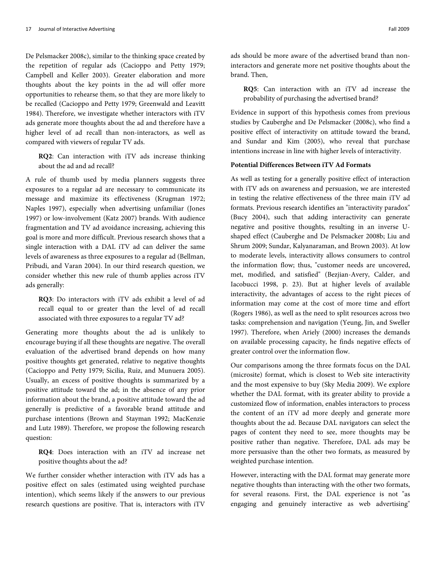De Pelsmacker 2008c), similar to the thinking space created by the repetition of regular ads (Cacioppo and Petty 1979; Campbell and Keller 2003). Greater elaboration and more thoughts about the key points in the ad will offer more opportunities to rehearse them, so that they are more likely to be recalled (Cacioppo and Petty 1979; Greenwald and Leavitt 1984). Therefore, we investigate whether interactors with iTV ads generate more thoughts about the ad and therefore have a higher level of ad recall than non-interactors, as well as compared with viewers of regular TV ads.

**RQ2**: Can interaction with iTV ads increase thinking about the ad and ad recall?

A rule of thumb used by media planners suggests three exposures to a regular ad are necessary to communicate its message and maximize its effectiveness (Krugman 1972; Naples 1997), especially when advertising unfamiliar (Jones 1997) or low-involvement (Katz 2007) brands. With audience fragmentation and TV ad avoidance increasing, achieving this goal is more and more difficult. Previous research shows that a single interaction with a DAL iTV ad can deliver the same levels of awareness as three exposures to a regular ad (Bellman, Pribudi, and Varan 2004). In our third research question, we consider whether this new rule of thumb applies across iTV ads generally:

**RQ3**: Do interactors with iTV ads exhibit a level of ad recall equal to or greater than the level of ad recall associated with three exposures to a regular TV ad?

Generating more thoughts about the ad is unlikely to encourage buying if all these thoughts are negative. The overall evaluation of the advertised brand depends on how many positive thoughts get generated, relative to negative thoughts (Cacioppo and Petty 1979; Sicilia, Ruiz, and Munuera 2005). Usually, an excess of positive thoughts is summarized by a positive attitude toward the ad; in the absence of any prior information about the brand, a positive attitude toward the ad generally is predictive of a favorable brand attitude and purchase intentions (Brown and Stayman 1992; MacKenzie and Lutz 1989). Therefore, we propose the following research question:

**RQ4**: Does interaction with an iTV ad increase net positive thoughts about the ad?

We further consider whether interaction with iTV ads has a positive effect on sales (estimated using weighted purchase intention), which seems likely if the answers to our previous research questions are positive. That is, interactors with iTV

ads should be more aware of the advertised brand than noninteractors and generate more net positive thoughts about the brand. Then,

**RQ5**: Can interaction with an iTV ad increase the probability of purchasing the advertised brand?

Evidence in support of this hypothesis comes from previous studies by Cauberghe and De Pelsmacker (2008c), who find a positive effect of interactivity on attitude toward the brand, and Sundar and Kim (2005), who reveal that purchase intentions increase in line with higher levels of interactivity.

### **Potential Differences Between iTV Ad Formats**

As well as testing for a generally positive effect of interaction with iTV ads on awareness and persuasion, we are interested in testing the relative effectiveness of the three main iTV ad formats. Previous research identifies an "interactivity paradox" (Bucy 2004), such that adding interactivity can generate negative and positive thoughts, resulting in an inverse Ushaped effect (Cauberghe and De Pelsmacker 2008b; Liu and Shrum 2009; Sundar, Kalyanaraman, and Brown 2003). At low to moderate levels, interactivity allows consumers to control the information flow; thus, "customer needs are uncovered, met, modified, and satisfied" (Bezjian-Avery, Calder, and Iacobucci 1998, p. 23). But at higher levels of available interactivity, the advantages of access to the right pieces of information may come at the cost of more time and effort (Rogers 1986), as well as the need to split resources across two tasks: comprehension and navigation (Yeung, Jin, and Sweller 1997). Therefore, when Ariely (2000) increases the demands on available processing capacity, he finds negative effects of greater control over the information flow.

Our comparisons among the three formats focus on the DAL (microsite) format, which is closest to Web site interactivity and the most expensive to buy (Sky Media 2009). We explore whether the DAL format, with its greater ability to provide a customized flow of information, enables interactors to process the content of an iTV ad more deeply and generate more thoughts about the ad. Because DAL navigators can select the pages of content they need to see, more thoughts may be positive rather than negative. Therefore, DAL ads may be more persuasive than the other two formats, as measured by weighted purchase intention.

However, interacting with the DAL format may generate more negative thoughts than interacting with the other two formats, for several reasons. First, the DAL experience is not "as engaging and genuinely interactive as web advertising"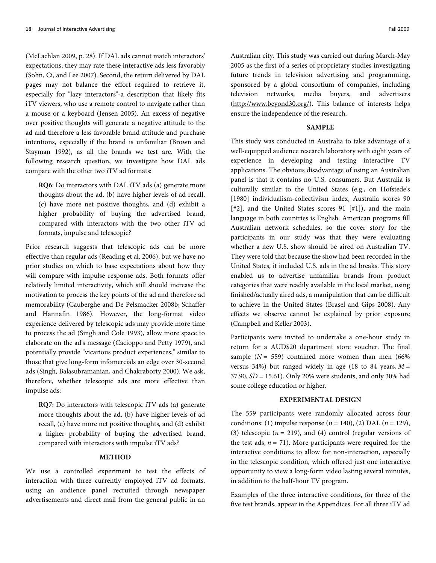(McLachlan 2009, p. 28). If DAL ads cannot match interactors' expectations, they may rate these interactive ads less favorably (Sohn, Ci, and Lee 2007). Second, the return delivered by DAL pages may not balance the effort required to retrieve it, especially for "lazy interactors"-a description that likely fits iTV viewers, who use a remote control to navigate rather than a mouse or a keyboard (Jensen 2005). An excess of negative over positive thoughts will generate a negative attitude to the ad and therefore a less favorable brand attitude and purchase intentions, especially if the brand is unfamiliar (Brown and Stayman 1992), as all the brands we test are. With the following research question, we investigate how DAL ads compare with the other two iTV ad formats:

**RQ6**: Do interactors with DAL iTV ads (a) generate more thoughts about the ad, (b) have higher levels of ad recall, (c) have more net positive thoughts, and (d) exhibit a higher probability of buying the advertised brand, compared with interactors with the two other iTV ad formats, impulse and telescopic?

Prior research suggests that telescopic ads can be more effective than regular ads (Reading et al. 2006), but we have no prior studies on which to base expectations about how they will compare with impulse response ads. Both formats offer relatively limited interactivity, which still should increase the motivation to process the key points of the ad and therefore ad memorability (Cauberghe and De Pelsmacker 2008b; Schaffer and Hannafin 1986). However, the long-format video experience delivered by telescopic ads may provide more time to process the ad (Singh and Cole 1993), allow more space to elaborate on the ad's message (Cacioppo and Petty 1979), and potentially provide "vicarious product experiences," similar to those that give long-form infomercials an edge over 30-second ads (Singh, Balasubramanian, and Chakraborty 2000). We ask, therefore, whether telescopic ads are more effective than impulse ads:

**RQ7**: Do interactors with telescopic iTV ads (a) generate more thoughts about the ad, (b) have higher levels of ad recall, (c) have more net positive thoughts, and (d) exhibit a higher probability of buying the advertised brand, compared with interactors with impulse iTV ads?

# **METHOD**

We use a controlled experiment to test the effects of interaction with three currently employed iTV ad formats, using an audience panel recruited through newspaper advertisements and direct mail from the general public in an Australian city. This study was carried out during March-May 2005 as the first of a series of proprietary studies investigating future trends in television advertising and programming, sponsored by a global consortium of companies, including television networks, media buyers, and advertisers [\(http://www.beyond30.org/](http://www.beyond30.org/)). This balance of interests helps ensure the independence of the research.

### **SAMPLE**

This study was conducted in Australia to take advantage of a well-equipped audience research laboratory with eight years of experience in developing and testing interactive TV applications. The obvious disadvantage of using an Australian panel is that it contains no U.S. consumers. But Australia is culturally similar to the United States (e.g., on Hofstede's [1980] individualism-collectivism index, Australia scores 90  $[42]$ , and the United States scores 91  $[41]$ , and the main language in both countries is English. American programs fill Australian network schedules, so the cover story for the participants in our study was that they were evaluating whether a new U.S. show should be aired on Australian TV. They were told that because the show had been recorded in the United States, it included U.S. ads in the ad breaks. This story enabled us to advertise unfamiliar brands from product categories that were readily available in the local market, using finished/actually aired ads, a manipulation that can be difficult to achieve in the United States (Brasel and Gips 2008). Any effects we observe cannot be explained by prior exposure (Campbell and Keller 2003).

Participants were invited to undertake a one-hour study in return for a AUD\$20 department store voucher. The final sample  $(N = 559)$  contained more women than men  $(66\%$ versus 34%) but ranged widely in age (18 to 84 years,  $M =$ 37.90, *SD* = 15.61). Only 20% were students, and only 30% had some college education or higher.

### **EXPERIMENTAL DESIGN**

The 559 participants were randomly allocated across four conditions: (1) impulse response (*n* = 140), (2) DAL (*n* = 129), (3) telescopic  $(n = 219)$ , and (4) control (regular versions of the test ads,  $n = 71$ ). More participants were required for the interactive conditions to allow for non-interaction, especially in the telescopic condition, which offered just one interactive opportunity to view a long-form video lasting several minutes, in addition to the half-hour TV program.

Examples of the three interactive conditions, for three of the five test brands, appear in the Appendices. For all three iTV ad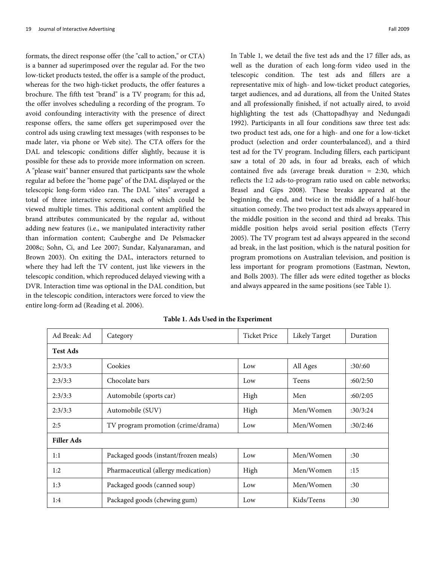formats, the direct response offer (the "call to action," or CTA) is a banner ad superimposed over the regular ad. For the two low-ticket products tested, the offer is a sample of the product, whereas for the two high-ticket products, the offer features a brochure. The fifth test "brand" is a TV program; for this ad, the offer involves scheduling a recording of the program. To avoid confounding interactivity with the presence of direct response offers, the same offers get superimposed over the control ads using crawling text messages (with responses to be made later, via phone or Web site). The CTA offers for the DAL and telescopic conditions differ slightly, because it is possible for these ads to provide more information on screen. A "please wait" banner ensured that participants saw the whole regular ad before the "home page" of the DAL displayed or the telescopic long-form video ran. The DAL "sites" averaged a total of three interactive screens, each of which could be viewed multiple times. This additional content amplified the brand attributes communicated by the regular ad, without adding new features (i.e., we manipulated interactivity rather than information content; Cauberghe and De Pelsmacker 2008c; Sohn, Ci, and Lee 2007; Sundar, Kalyanaraman, and Brown 2003). On exiting the DAL, interactors returned to where they had left the TV content, just like viewers in the telescopic condition, which reproduced delayed viewing with a DVR. Interaction time was optional in the DAL condition, but in the telescopic condition, interactors were forced to view the entire long-form ad (Reading et al. 2006).

In Table 1, we detail the five test ads and the 17 filler ads, as well as the duration of each long-form video used in the telescopic condition. The test ads and fillers are a representative mix of high- and low-ticket product categories, target audiences, and ad durations, all from the United States and all professionally finished, if not actually aired, to avoid highlighting the test ads (Chattopadhyay and Nedungadi 1992). Participants in all four conditions saw three test ads: two product test ads, one for a high- and one for a low-ticket product (selection and order counterbalanced), and a third test ad for the TV program. Including fillers, each participant saw a total of 20 ads, in four ad breaks, each of which contained five ads (average break duration = 2:30, which reflects the 1:2 ads-to-program ratio used on cable networks; Brasel and Gips 2008). These breaks appeared at the beginning, the end, and twice in the middle of a half-hour situation comedy. The two product test ads always appeared in the middle position in the second and third ad breaks. This middle position helps avoid serial position effects (Terry 2005). The TV program test ad always appeared in the second ad break, in the last position, which is the natural position for program promotions on Australian television, and position is less important for program promotions (Eastman, Newton, and Bolls 2003). The filler ads were edited together as blocks and always appeared in the same positions (see Table 1).

| Ad Break: Ad      | Category                              | <b>Ticket Price</b> | Likely Target | Duration |  |  |  |  |  |
|-------------------|---------------------------------------|---------------------|---------------|----------|--|--|--|--|--|
| <b>Test Ads</b>   |                                       |                     |               |          |  |  |  |  |  |
| 2:3/3:3           | Cookies                               | Low                 | All Ages      | :30/60   |  |  |  |  |  |
| 2:3/3:3           | Chocolate bars                        | Low                 | Teens         | :60/2:50 |  |  |  |  |  |
| 2:3/3:3           | Automobile (sports car)               | High                | Men           | :60/2:05 |  |  |  |  |  |
| 2:3/3:3           | Automobile (SUV)                      | High                | Men/Women     | :30/3:24 |  |  |  |  |  |
| 2:5               | TV program promotion (crime/drama)    | Low                 | Men/Women     | :30/2:46 |  |  |  |  |  |
| <b>Filler Ads</b> |                                       |                     |               |          |  |  |  |  |  |
| 1:1               | Packaged goods (instant/frozen meals) | Low                 | Men/Women     | :30      |  |  |  |  |  |
| 1:2               | Pharmaceutical (allergy medication)   | High                | Men/Women     | :15      |  |  |  |  |  |
| 1:3               | Packaged goods (canned soup)          | Low                 | Men/Women     | :30      |  |  |  |  |  |
| 1:4               | Packaged goods (chewing gum)          | Low                 | Kids/Teens    | :30      |  |  |  |  |  |

**Table 1. Ads Used in the Experiment**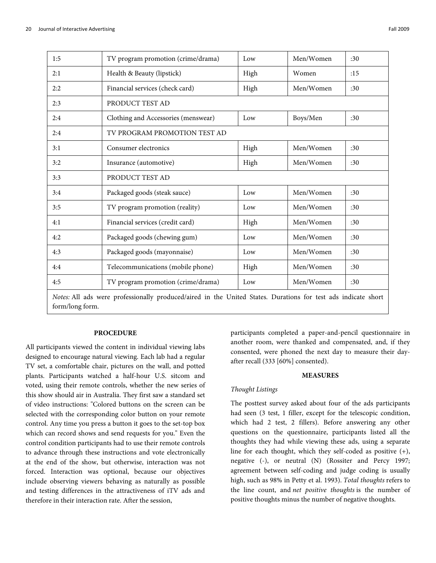| 1:5                                                                                                                              | TV program promotion (crime/drama)  | Low      | Men/Women | :30 |  |  |  |  |  |
|----------------------------------------------------------------------------------------------------------------------------------|-------------------------------------|----------|-----------|-----|--|--|--|--|--|
| 2:1                                                                                                                              | Health & Beauty (lipstick)          | High     | Women     | :15 |  |  |  |  |  |
| 2:2                                                                                                                              | Financial services (check card)     | High     | Men/Women | :30 |  |  |  |  |  |
| 2:3                                                                                                                              | PRODUCT TEST AD                     |          |           |     |  |  |  |  |  |
| 2:4                                                                                                                              | Clothing and Accessories (menswear) | Boys/Men | :30       |     |  |  |  |  |  |
| 2:4                                                                                                                              | TV PROGRAM PROMOTION TEST AD        |          |           |     |  |  |  |  |  |
| 3:1                                                                                                                              | Consumer electronics                | High     | Men/Women | :30 |  |  |  |  |  |
| 3:2                                                                                                                              | Insurance (automotive)              | High     | Men/Women | :30 |  |  |  |  |  |
| 3:3                                                                                                                              | PRODUCT TEST AD                     |          |           |     |  |  |  |  |  |
| 3:4                                                                                                                              | Packaged goods (steak sauce)        | Low      | Men/Women | :30 |  |  |  |  |  |
| 3:5                                                                                                                              | TV program promotion (reality)      | Low      | Men/Women | :30 |  |  |  |  |  |
| 4:1                                                                                                                              | Financial services (credit card)    | High     | Men/Women | :30 |  |  |  |  |  |
| 4:2                                                                                                                              | Packaged goods (chewing gum)        | Low      | Men/Women | :30 |  |  |  |  |  |
| 4:3                                                                                                                              | Packaged goods (mayonnaise)         | Low      | Men/Women | :30 |  |  |  |  |  |
| 4:4                                                                                                                              | Telecommunications (mobile phone)   | High     | Men/Women | :30 |  |  |  |  |  |
| 4:5                                                                                                                              | TV program promotion (crime/drama)  | Low      | Men/Women | :30 |  |  |  |  |  |
| Notes: All ads were professionally produced/aired in the United States. Durations for test ads indicate short<br>form/long form. |                                     |          |           |     |  |  |  |  |  |

# **PROCEDURE**

All participants viewed the content in individual viewing labs designed to encourage natural viewing. Each lab had a regular TV set, a comfortable chair, pictures on the wall, and potted plants. Participants watched a half-hour U.S. sitcom and voted, using their remote controls, whether the new series of this show should air in Australia. They first saw a standard set of video instructions: "Colored buttons on the screen can be selected with the corresponding color button on your remote control. Any time you press a button it goes to the set-top box which can record shows and send requests for you." Even the control condition participants had to use their remote controls to advance through these instructions and vote electronically at the end of the show, but otherwise, interaction was not forced. Interaction was optional, because our objectives include observing viewers behaving as naturally as possible and testing differences in the attractiveness of iTV ads and therefore in their interaction rate. After the session,

participants completed a paper-and-pencil questionnaire in another room, were thanked and compensated, and, if they consented, were phoned the next day to measure their dayafter recall (333 [60%] consented).

#### **MEASURES**

# *Thought Listings*

The posttest survey asked about four of the ads participants had seen (3 test, 1 filler, except for the telescopic condition, which had 2 test, 2 fillers). Before answering any other questions on the questionnaire, participants listed all the thoughts they had while viewing these ads, using a separate line for each thought, which they self-coded as positive (+), negative (-), or neutral (N) (Rossiter and Percy 1997; agreement between self-coding and judge coding is usually high, such as 98% in Petty et al. 1993). *Total thoughts* refers to the line count, and *net positive thoughts* is the number of positive thoughts minus the number of negative thoughts.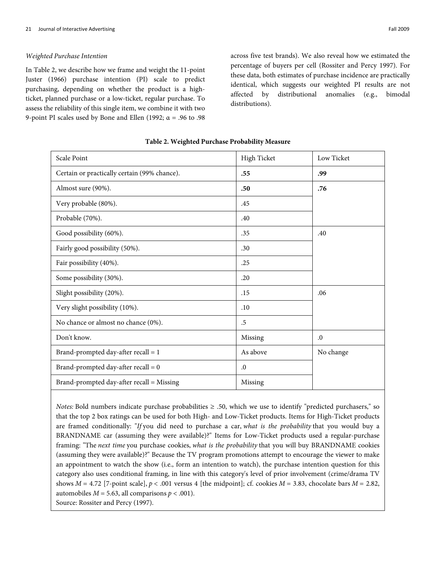#### *Weighted Purchase Intention*

In Table 2, we describe how we frame and weight the 11-point Juster (1966) purchase intention (PI) scale to predict purchasing, depending on whether the product is a highticket, planned purchase or a low-ticket, regular purchase. To assess the reliability of this single item, we combine it with two 9-point PI scales used by Bone and Ellen (1992;  $\alpha$  = .96 to .98

across five test brands). We also reveal how we estimated the percentage of buyers per cell (Rossiter and Percy 1997). For these data, both estimates of purchase incidence are practically identical, which suggests our weighted PI results are not affected by distributional anomalies (e.g., bimodal distributions).

| <b>Scale Point</b>                           | <b>High Ticket</b> | Low Ticket       |  |
|----------------------------------------------|--------------------|------------------|--|
| Certain or practically certain (99% chance). | .55                | .99              |  |
| Almost sure (90%).                           | .50                | .76              |  |
| Very probable (80%).                         | .45                |                  |  |
| Probable (70%).                              | .40                |                  |  |
| Good possibility (60%).                      | .35                | .40              |  |
| Fairly good possibility (50%).               | .30                |                  |  |
| Fair possibility (40%).                      | .25                |                  |  |
| Some possibility (30%).                      | .20                |                  |  |
| Slight possibility (20%).                    | .15                | .06              |  |
| Very slight possibility (10%).               | .10                |                  |  |
| No chance or almost no chance (0%).          | .5                 |                  |  |
| Don't know.                                  | Missing            | $\overline{0}$ . |  |
| Brand-prompted day-after recall $= 1$        | As above           | No change        |  |
| Brand-prompted day-after recall $= 0$        | $\Omega$           |                  |  |
| Brand-prompted day-after recall = Missing    | Missing            |                  |  |

# **Table 2. Weighted Purchase Probability Measure**

*Notes:* Bold numbers indicate purchase probabilities ≥ .50, which we use to identify "predicted purchasers," so that the top 2 box ratings can be used for both High- and Low-Ticket products. Items for High-Ticket products are framed conditionally: "*If* you did need to purchase a car, *what is the probability* that you would buy a BRANDNAME car (assuming they were available)?" Items for Low-Ticket products used a regular-purchase framing: "The *next time* you purchase cookies, *what is the probability* that you will buy BRANDNAME cookies (assuming they were available)?" Because the TV program promotions attempt to encourage the viewer to make an appointment to watch the show (i.e., form an intention to watch), the purchase intention question for this category also uses conditional framing, in line with this category's level of prior involvement (crime/drama TV shows  $M = 4.72$  [7-point scale],  $p < .001$  versus 4 [the midpoint]; cf. cookies  $M = 3.83$ , chocolate bars  $M = 2.82$ , automobiles  $M = 5.63$ , all comparisons  $p < .001$ ). Source: Rossiter and Percy (1997).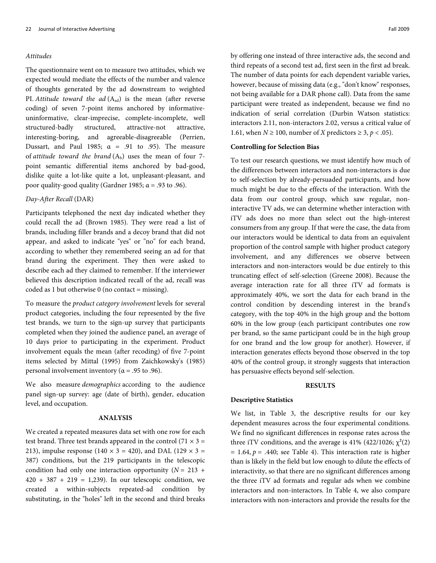#### *Attitudes*

The questionnaire went on to measure two attitudes, which we expected would mediate the effects of the number and valence of thoughts generated by the ad downstream to weighted PI. *Attitude toward the ad*  $(A_{ad})$  is the mean (after reverse coding) of seven 7-point items anchored by informativeuninformative, clear-imprecise, complete-incomplete, well structured-badly structured, attractive-not attractive, interesting-boring, and agreeable-disagreeable (Perrien, Dussart, and Paul 1985;  $\alpha = .91$  to .95). The measure of *attitude toward the brand*  $(A_b)$  uses the mean of four 7point semantic differential items anchored by bad-good, dislike quite a lot-like quite a lot, unpleasant-pleasant, and poor quality-good quality (Gardner 1985;  $\alpha$  = .93 to .96).

# *Day-After Recall* (DAR)

Participants telephoned the next day indicated whether they could recall the ad (Brown 1985). They were read a list of brands, including filler brands and a decoy brand that did not appear, and asked to indicate "yes" or "no" for each brand, according to whether they remembered seeing an ad for that brand during the experiment. They then were asked to describe each ad they claimed to remember. If the interviewer believed this description indicated recall of the ad, recall was coded as 1 but otherwise  $0$  (no contact = missing).

To measure the *product category involvement* levels for several product categories, including the four represented by the five test brands, we turn to the sign-up survey that participants completed when they joined the audience panel, an average of 10 days prior to participating in the experiment. Product involvement equals the mean (after recoding) of five 7-point items selected by Mittal (1995) from Zaichkowsky's (1985) personal involvement inventory ( $\alpha$  = .95 to .96).

We also measure *demographics* according to the audience panel sign-up survey: age (date of birth), gender, education level, and occupation.

# **ANALYSIS**

We created a repeated measures data set with one row for each test brand. Three test brands appeared in the control  $(71 \times 3 =$ 213), impulse response (140  $\times$  3 = 420), and DAL (129  $\times$  3 = 387) conditions, but the 219 participants in the telescopic condition had only one interaction opportunity  $(N = 213 +$  $420 + 387 + 219 = 1,239$ . In our telescopic condition, we created a within-subjects repeated-ad condition by substituting, in the "holes" left in the second and third breaks

by offering one instead of three interactive ads, the second and third repeats of a second test ad, first seen in the first ad break. The number of data points for each dependent variable varies, however, because of missing data (e.g., "don't know" responses, not being available for a DAR phone call). Data from the same participant were treated as independent, because we find no indication of serial correlation (Durbin Watson statistics: interactors 2.11, non-interactors 2.02, versus a critical value of 1.61, when  $N \ge 100$ , number of *X* predictors  $\ge 3$ ,  $p < .05$ ).

#### **Controlling for Selection Bias**

To test our research questions, we must identify how much of the differences between interactors and non-interactors is due to self-selection by already-persuaded participants, and how much might be due to the effects of the interaction. With the data from our control group, which saw regular, noninteractive TV ads, we can determine whether interaction with iTV ads does no more than select out the high-interest consumers from any group. If that were the case, the data from our interactors would be identical to data from an equivalent proportion of the control sample with higher product category involvement, and any differences we observe between interactors and non-interactors would be due entirely to this truncating effect of self-selection (Greene 2008). Because the average interaction rate for all three iTV ad formats is approximately 40%, we sort the data for each brand in the control condition by descending interest in the brand's category, with the top 40% in the high group and the bottom 60% in the low group (each participant contributes one row per brand, so the same participant could be in the high group for one brand and the low group for another). However, if interaction generates effects beyond those observed in the top 40% of the control group, it strongly suggests that interaction has persuasive effects beyond self-selection.

# **RESULTS**

### **Descriptive Statistics**

We list, in Table 3, the descriptive results for our key dependent measures across the four experimental conditions. We find no significant differences in response rates across the three iTV conditions, and the average is 41% (422/1026;  $\chi^2(2)$ )  $= 1.64$ ,  $p = .440$ ; see Table 4). This interaction rate is higher than is likely in the field but low enough to dilute the effects of interactivity, so that there are no significant differences among the three iTV ad formats and regular ads when we combine interactors and non-interactors. In Table 4, we also compare interactors with non-interactors and provide the results for the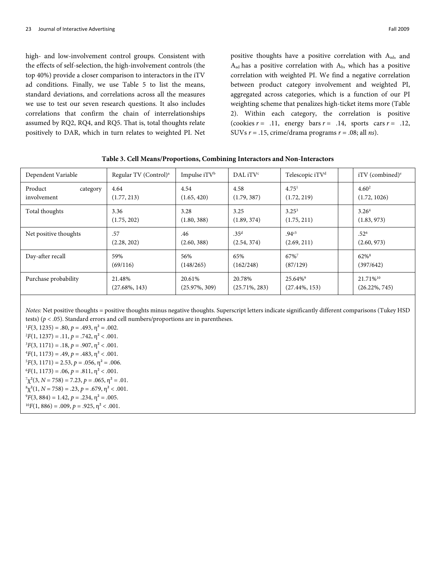high- and low-involvement control groups. Consistent with the effects of self-selection, the high-involvement controls (the top 40%) provide a closer comparison to interactors in the iTV ad conditions. Finally, we use Table 5 to list the means, standard deviations, and correlations across all the measures we use to test our seven research questions. It also includes correlations that confirm the chain of interrelationships assumed by RQ2, RQ4, and RQ5. That is, total thoughts relate positively to DAR, which in turn relates to weighted PI. Net positive thoughts have a positive correlation with  $A_{ad}$ , and  $A_{ad}$  has a positive correlation with  $A_{b}$ , which has a positive correlation with weighted PI. We find a negative correlation between product category involvement and weighted PI, aggregated across categories, which is a function of our PI weighting scheme that penalizes high-ticket items more (Table 2). Within each category, the correlation is positive (cookies  $r = 0.11$ , energy bars  $r = 0.14$ , sports cars  $r = 0.12$ , SUVs *r* = .15, crime/drama programs *r* = .08; all *ns*).

| Dependent Variable                 | Regular TV (Control) <sup>a</sup> | Impulse iTV <sup>b</sup> | $DAL$ iTV $c$       | Telescopic iTV <sup>d</sup>      | iTV (combined) $e$         |
|------------------------------------|-----------------------------------|--------------------------|---------------------|----------------------------------|----------------------------|
| Product<br>category<br>involvement | 4.64<br>(1.77, 213)               | 4.54<br>(1.65, 420)      | 4.58<br>(1.79, 387) | 4.75 <sup>1</sup><br>(1.72, 219) | $4.60^{2}$<br>(1.72, 1026) |
| Total thoughts                     | 3.36                              | 3.28                     | 3.25                | $3.25^{3}$                       | 3.26 <sup>4</sup>          |
|                                    | (1.75, 202)                       | (1.80, 388)              | (1.89, 374)         | (1.75, 211)                      | (1.83, 973)                |
| Net positive thoughts              | .57                               | .46                      | .35 <sup>d</sup>    | $.94^{c5}$                       | $.52^6$                    |
|                                    | (2.28, 202)                       | (2.60, 388)              | (2.54, 374)         | (2.69, 211)                      | (2.60, 973)                |
| Day-after recall                   | 59%                               | 56%                      | 65%                 | 67%                              | $62\%$ <sup>8</sup>        |
|                                    | (69/116)                          | (148/265)                | (162/248)           | (87/129)                         | (397/642)                  |
| Purchase probability               | 21.48%                            | 20.61%                   | 20.78%              | 25.64%                           | 21.71%10                   |
|                                    | $(27.68\%, 143)$                  | $(25.97\%, 309)$         | $(25.71\%, 283)$    | $(27.44\%, 153)$                 | $(26.22\%, 745)$           |
|                                    |                                   |                          |                     |                                  |                            |

**Table 3. Cell Means/Proportions, Combining Interactors and Non-Interactors**

*Notes:* Net positive thoughts = positive thoughts minus negative thoughts. Superscript letters indicate significantly different comparisons (Tukey HSD tests) (*p* < .05). Standard errors and cell numbers/proportions are in parentheses.

 ${}^{1}F(3, 1235) = .80, p = .493, \eta^{2} = .002.$  ${}^{2}F(1, 1237) = .11, p = .742, \eta^{2} < .001.$  ${}^{3}F(3, 1171) = .18, p = .907, \eta^{2} < .001.$  ${}^{4}F(1, 1173) = .49, p = .483, \eta^{2} < .001.$  ${}^{5}F(3, 1171) = 2.53, p = .056, \eta^{2} = .006.$  ${}^{6}F(1, 1173) = .06, p = .811, \eta^{2} < .001.$  $\int \chi^2(3, N = 758) = 7.23, p = .065, \eta^2 = .01.$  ${}^8\chi^2(1, N = 758) = .23, p = .679, \eta^2 < .001.$  ${}^{9}F(3, 884) = 1.42, p = .234, \eta^{2} = .005.$  ${}^{10}F(1, 886) = .009, p = .925, \eta^2 < .001.$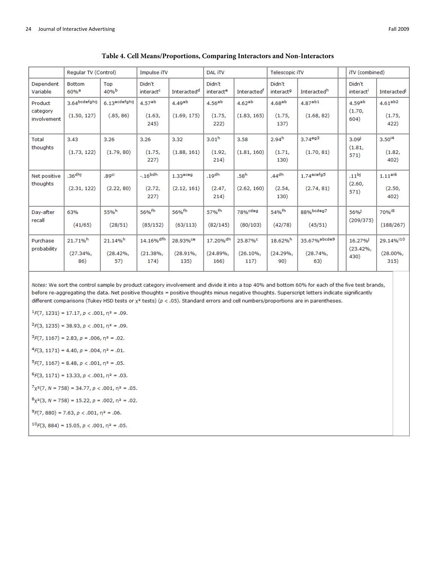|                                    | Regular TV (Control)                |                                 | Impulse iTV                          |                                     | <b>DAL ITV</b>                      |                                           | Telescopic iTV                           |                                     | iTV (combined) |                                        |                                             |
|------------------------------------|-------------------------------------|---------------------------------|--------------------------------------|-------------------------------------|-------------------------------------|-------------------------------------------|------------------------------------------|-------------------------------------|----------------|----------------------------------------|---------------------------------------------|
| Dependent<br>Variable              | <b>Bottom</b><br>$60%$ <sup>a</sup> | Top<br>$40%^{b}$                | Didn't<br>interact <sup>c</sup>      | Interacted <sup>d</sup>             | Didn't<br>interacte                 | Interacted <sup>t</sup>                   | Didn't<br>interact <sup>9</sup>          | Interacted <sup>h</sup>             |                | Didn't<br>interact <sup>1</sup>        | Interacted                                  |
| Product<br>category<br>involvement | 3.64bcdefghij<br>(1.50, 127)        | 6.13acdefghij<br>(.85, 86)      | 4.57 <sup>ab</sup><br>(1.63,<br>245) | $4.49$ <sup>ab</sup><br>(1.69, 175) | $4.56^{ab}$<br>(1.75,<br>222)       | $4.62^{ab}$<br>(1.83, 165)                | $4.68^{ab}$<br>(1.75,<br>137)            | $4.87$ <sup>ab1</sup><br>(1.68, 82) |                | $4.59$ <sup>ab</sup><br>(1.70,<br>604) | $4.61$ <sup>ab2</sup><br>(1.75,<br>422)     |
| <b>Total</b><br>thoughts           | 3.43<br>(1.73, 122)                 | 3.26<br>(1.79, 80)              | 3.26<br>(1.75,<br>227)               | 3.32<br>(1.88, 161)                 | 3.01 <sup>h</sup><br>(1.92,<br>214) | 3.58<br>(1.81, 160)                       | 2.94 <sup>h</sup><br>(1.71,<br>130)      | $3.74$ <sup>eg3</sup><br>(1.70, 81) |                | 3.09 <sup>j</sup><br>(1.81,<br>571)    | $3.50^{14}$<br>(1.82,<br>402)               |
| Net positive<br>thoughts           | $.36d$ hj<br>(2.31, 122)            | .89 <sup>ci</sup><br>(2.22, 80) | $-16bdh$<br>(2.72,<br>227)           | $1.33$ aceg<br>(2.12, 161)          | .19 <sup>dh</sup><br>(2.47,<br>214) | .58 <sup>h</sup><br>(2.62, 160)           | .44 <sup>dh</sup><br>(2.54,<br>130)      | $1.74$ acefg5<br>(2.74, 81)         |                | $.11^{bj}$<br>(2.60,<br>571)           | $1.11^{ai6}$<br>(2.50,<br>402)              |
| Dav-after<br>recall                | 63%<br>(41/65)                      | 55%h<br>(28/51)                 | 56% <sup>fh</sup><br>(85/152)        | 56% <sup>fh</sup><br>(63/113)       | 57% <sup>fh</sup><br>(82/145)       | 78%cdeg<br>(80/103)                       | 54%fh<br>(42/78)                         | 88%bcdeg7<br>(45/51)                |                | 56% <sup>j</sup><br>(209/375)          | 70% <sup>18</sup><br>(188/267)              |
| Purchase<br>probability            | 21.71%h<br>$(27.34\%$<br>86)        | 21.14%h<br>$(28.42\%$<br>57)    | 14.16%dfh<br>$(21.38\%$<br>174)      | 28.93%ce<br>$(28.91\%$<br>135)      | 17.20%dh<br>(24.89%<br>166)         | 25.87% <sup>c</sup><br>$(26.10\%$<br>117) | 18.62% <sup>h</sup><br>$(24.29\%$<br>90) | 35.67% abcde9<br>$(28.74\%$<br>63)  |                | 16.27% <sup>j</sup><br>(23.42%<br>430) | 29.14% <sup>110</sup><br>$(28.00\%$<br>315) |

Notes: We sort the control sample by product category involvement and divide it into a top 40% and bottom 60% for each of the five test brands, before re-aggregating the data. Net positive thoughts = positive thoughts minus negative thoughts. Superscript letters indicate significantly different comparisons (Tukey HSD tests or  $\chi^2$  tests) ( $p < .05$ ). Standard errors and cell numbers/proportions are in parentheses.

 ${}^{1}F(7, 1231) = 17.17, p < .001, \eta^{2} = .09.$ 

 $^2F(3,\,1235)=38.93,\, \rho < .001,\, \eta^2 = .09.$ 

 ${}^{3}F(7, 1167) = 2.83, p = .006, \eta^{2} = .02.$ 

 $^4F(3,\,1171)=4.40,\,p=.004,\,\eta^2=.01.$ 

 $^{5}F(7,\,1167) = 8.48, \rho < .001, \eta^{2} = .05.$ 

 ${}^6F(3,1171) = 13.33, p < .001, \eta^2 = .03.$ 

 $7\chi^2(7, N = 758) = 34.77, p < .001, \eta^2 = .05.$ 

 ${}^{8}x^2(3, N = 758) = 15.22, p = .002, \eta^2 = .02.$ 

 $^{9}F(7,\,880)=7.63,\, p<.001,\, \eta^2=.06.$ 

 $^{10}\!F\!(3,884)=15.05,\, p<.001,\, \eta^2=.05.$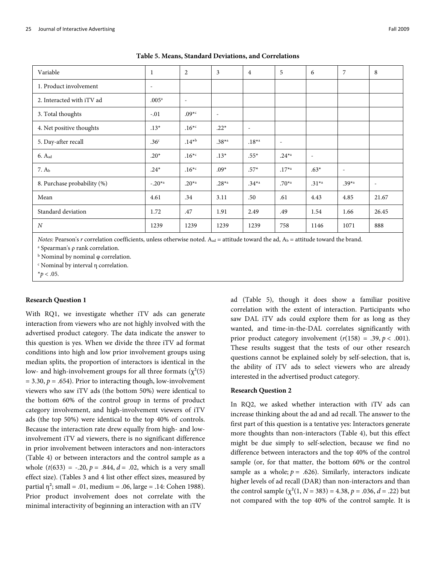| Variable                    | 1                        | $\overline{2}$           | 3                        | $\overline{4}$           | 5                        | 6                        | 7                        | 8                        |
|-----------------------------|--------------------------|--------------------------|--------------------------|--------------------------|--------------------------|--------------------------|--------------------------|--------------------------|
| 1. Product involvement      | $\overline{\phantom{a}}$ |                          |                          |                          |                          |                          |                          |                          |
| 2. Interacted with iTV ad   | .005 <sup>a</sup>        | $\overline{\phantom{a}}$ |                          |                          |                          |                          |                          |                          |
| 3. Total thoughts           | $-.01$                   | $.09^{*c}$               | $\overline{\phantom{a}}$ |                          |                          |                          |                          |                          |
| 4. Net positive thoughts    | $.13*$                   | $.16^{*c}$               | $.22*$                   | $\overline{\phantom{a}}$ |                          |                          |                          |                          |
| 5. Day-after recall         | .36 <sup>c</sup>         | $.14*^{b}$               | $.38^{*a}$               | $.18^{*a}$               | $\overline{\phantom{a}}$ |                          |                          |                          |
| $6. A_{ad}$                 | $.20*$                   | $.16^{*c}$               | $.13*$                   | $.55*$                   | $.24^{*a}$               | $\overline{\phantom{a}}$ |                          |                          |
| 7. A <sub>b</sub>           | $.24*$                   | $.16^{*c}$               | $.09*$                   | $.57*$                   | $.17^{*a}$               | $.63*$                   | $\overline{\phantom{a}}$ |                          |
| 8. Purchase probability (%) | $-.20^{*a}$              | $.20^{*a}$               | $.28^{*a}$               | $.34^{*a}$               | $.70^{*a}$               | $.31^{*a}$               | $.39^{*a}$               | $\overline{\phantom{a}}$ |
| Mean                        | 4.61                     | .34                      | 3.11                     | .50                      | .61                      | 4.43                     | 4.85                     | 21.67                    |
| Standard deviation          | 1.72                     | .47                      | 1.91                     | 2.49                     | .49                      | 1.54                     | 1.66                     | 26.45                    |
| $\boldsymbol{N}$            | 1239                     | 1239                     | 1239                     | 1239                     | 758                      | 1146                     | 1071                     | 888                      |

**Table 5. Means, Standard Deviations, and Correlations**

*Notes: Pearson's r* correlation coefficients, unless otherwise noted.  $A_{ad}$  = attitude toward the ad,  $A_b$  = attitude toward the brand.

a Spearman's ρ rank correlation.

<sup>b</sup> Nominal by nominal φ correlation.

c Nominal by interval η correlation.

 $*$ *p* < .05.

# **Research Question 1**

With RQ1, we investigate whether iTV ads can generate interaction from viewers who are not highly involved with the advertised product category. The data indicate the answer to this question is yes. When we divide the three iTV ad format conditions into high and low prior involvement groups using median splits, the proportion of interactors is identical in the low- and high-involvement groups for all three formats  $(\chi^2(5))$  $= 3.30, p = .654$ ). Prior to interacting though, low-involvement viewers who saw iTV ads (the bottom 50%) were identical to the bottom 60% of the control group in terms of product category involvement, and high-involvement viewers of iTV ads (the top 50%) were identical to the top 40% of controls. Because the interaction rate drew equally from high- and lowinvolvement iTV ad viewers, there is no significant difference in prior involvement between interactors and non-interactors (Table 4) or between interactors and the control sample as a whole  $(t(633) = -.20, p = .844, d = .02,$  which is a very small effect size). (Tables 3 and 4 list other effect sizes, measured by partial  $\eta^2$ ; small = .01, medium = .06, large = .14: Cohen 1988). Prior product involvement does not correlate with the minimal interactivity of beginning an interaction with an iTV

ad (Table 5), though it does show a familiar positive correlation with the extent of interaction. Participants who saw DAL iTV ads could explore them for as long as they wanted, and time-in-the-DAL correlates significantly with prior product category involvement  $(r(158) = .39, p < .001)$ . These results suggest that the tests of our other research questions cannot be explained solely by self-selection, that is, the ability of iTV ads to select viewers who are already interested in the advertised product category.

# **Research Question 2**

In RQ2, we asked whether interaction with iTV ads can increase thinking about the ad and ad recall. The answer to the first part of this question is a tentative yes: Interactors generate more thoughts than non-interactors (Table 4), but this effect might be due simply to self-selection, because we find no difference between interactors and the top 40% of the control sample (or, for that matter, the bottom 60% or the control sample as a whole;  $p = .626$ ). Similarly, interactors indicate higher levels of ad recall (DAR) than non-interactors and than the control sample  $(\chi^2(1, N = 383)) = 4.38$ ,  $p = .036$ ,  $d = .22$ ) but not compared with the top 40% of the control sample. It is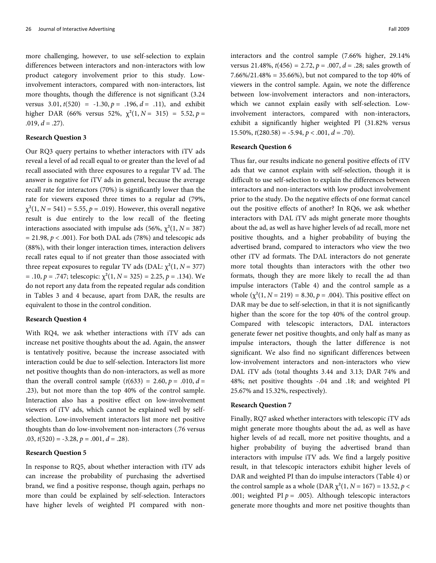more challenging, however, to use self-selection to explain differences between interactors and non-interactors with low product category involvement prior to this study. Lowinvolvement interactors, compared with non-interactors, list more thoughts, though the difference is not significant (3.24 versus  $3.01, t(520) = -1.30, p = .196, d = .11$ , and exhibit higher DAR (66% versus 52%,  $\chi^2(1, N = 315) = 5.52, p =$  $.019, d = .27$ ).

### **Research Question 3**

Our RQ3 query pertains to whether interactors with iTV ads reveal a level of ad recall equal to or greater than the level of ad recall associated with three exposures to a regular TV ad. The answer is negative for iTV ads in general, because the average recall rate for interactors (70%) is significantly lower than the rate for viewers exposed three times to a regular ad (79%,  $\chi^2(1, N = 541) = 5.55, p = .019$ ). However, this overall negative result is due entirely to the low recall of the fleeting interactions associated with impulse ads  $(56\%, \chi^2(1, N = 387))$  $= 21.98$ ,  $p < .001$ ). For both DAL ads (78%) and telescopic ads (88%), with their longer interaction times, interaction delivers recall rates equal to if not greater than those associated with three repeat exposures to regular TV ads (DAL:  $\chi^2(1, N = 377)$ ) = .10, *p* = .747; telescopic:  $\chi^2(1, N = 325) = 2.25$ , *p* = .134). We do not report any data from the repeated regular ads condition in Tables 3 and 4 because, apart from DAR, the results are equivalent to those in the control condition.

# **Research Question 4**

With RQ4, we ask whether interactions with iTV ads can increase net positive thoughts about the ad. Again, the answer is tentatively positive, because the increase associated with interaction could be due to self-selection. Interactors list more net positive thoughts than do non-interactors, as well as more than the overall control sample  $(t(633) = 2.60, p = .010, d =$ .23), but not more than the top 40% of the control sample. Interaction also has a positive effect on low-involvement viewers of iTV ads, which cannot be explained well by selfselection. Low-involvement interactors list more net positive thoughts than do low-involvement non-interactors (.76 versus .03, *t*(520) = -3.28, *p* = .001, *d* = .28).

### **Research Question 5**

In response to RQ5, about whether interaction with iTV ads can increase the probability of purchasing the advertised brand, we find a positive response, though again, perhaps no more than could be explained by self-selection. Interactors have higher levels of weighted PI compared with noninteractors and the control sample (7.66% higher, 29.14% versus 21.48%,  $t(456) = 2.72$ ,  $p = .007$ ,  $d = .28$ ; sales growth of 7.66%/21.48% = 35.66%), but not compared to the top 40% of viewers in the control sample. Again, we note the difference between low-involvement interactors and non-interactors, which we cannot explain easily with self-selection. Lowinvolvement interactors, compared with non-interactors, exhibit a significantly higher weighted PI (31.82% versus 15.50%,  $t(280.58) = -5.94$ ,  $p < .001$ ,  $d = .70$ ).

#### **Research Question 6**

Thus far, our results indicate no general positive effects of iTV ads that we cannot explain with self-selection, though it is difficult to use self-selection to explain the differences between interactors and non-interactors with low product involvement prior to the study. Do the negative effects of one format cancel out the positive effects of another? In RQ6, we ask whether interactors with DAL iTV ads might generate more thoughts about the ad, as well as have higher levels of ad recall, more net positive thoughts, and a higher probability of buying the advertised brand, compared to interactors who view the two other iTV ad formats. The DAL interactors do not generate more total thoughts than interactors with the other two formats, though they are more likely to recall the ad than impulse interactors (Table 4) and the control sample as a whole  $(\chi^2(1, N = 219) = 8.30, p = .004)$ . This positive effect on DAR may be due to self-selection, in that it is not significantly higher than the score for the top 40% of the control group. Compared with telescopic interactors, DAL interactors generate fewer net positive thoughts, and only half as many as impulse interactors, though the latter difference is not significant. We also find no significant differences between low-involvement interactors and non-interactors who view DAL iTV ads (total thoughts 3.44 and 3.13; DAR 74% and 48%; net positive thoughts -.04 and .18; and weighted PI 25.67% and 15.32%, respectively).

#### **Research Question 7**

Finally, RQ7 asked whether interactors with telescopic iTV ads might generate more thoughts about the ad, as well as have higher levels of ad recall, more net positive thoughts, and a higher probability of buying the advertised brand than interactors with impulse iTV ads. We find a largely positive result, in that telescopic interactors exhibit higher levels of DAR and weighted PI than do impulse interactors (Table 4) or the control sample as a whole (DAR  $\chi^2(1, N = 167) = 13.52$ ,  $p <$ .001; weighted PI  $p = .005$ ). Although telescopic interactors generate more thoughts and more net positive thoughts than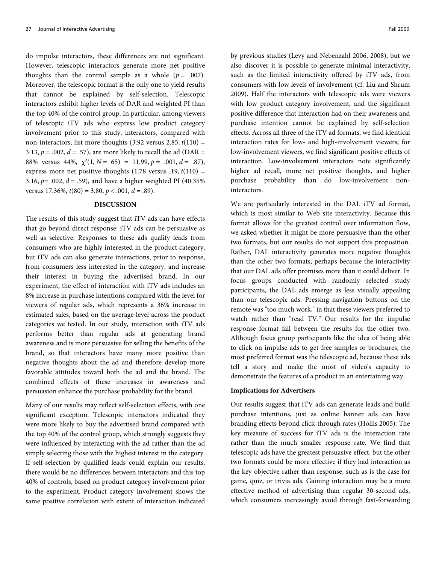do impulse interactors, these differences are not significant. However, telescopic interactors generate more net positive thoughts than the control sample as a whole  $(p = .007)$ . Moreover, the telescopic format is the only one to yield results that cannot be explained by self-selection. Telescopic interactors exhibit higher levels of DAR and weighted PI than the top 40% of the control group. In particular, among viewers of telescopic iTV ads who express low product category involvement prior to this study, interactors, compared with non-interactors, list more thoughts  $(3.92 \text{ versus } 2.85, t(110) =$ 3.13,  $p = .002$ ,  $d = .57$ ), are more likely to recall the ad (DAR = 88% versus 44%,  $\chi^2(1, N = 65) = 11.99, p = .001, d = .87$ ), express more net positive thoughts  $(1.78 \text{ versus } .19, t(110))$  = 3.16, *p*= .002, *d* = .59), and have a higher weighted PI (40.35% versus  $17.36\%$ ,  $t(80) = 3.80$ ,  $p < .001$ ,  $d = .89$ ).

#### **DISCUSSION**

The results of this study suggest that iTV ads can have effects that go beyond direct response: iTV ads can be persuasive as well as selective. Responses to these ads qualify leads from consumers who are highly interested in the product category, but iTV ads can also generate interactions, prior to response, from consumers less interested in the category, and increase their interest in buying the advertised brand. In our experiment, the effect of interaction with iTV ads includes an 8% increase in purchase intentions compared with the level for viewers of regular ads, which represents a 36% increase in estimated sales, based on the average level across the product categories we tested. In our study, interaction with iTV ads performs better than regular ads at generating brand awareness and is more persuasive for selling the benefits of the brand, so that interactors have many more positive than negative thoughts about the ad and therefore develop more favorable attitudes toward both the ad and the brand. The combined effects of these increases in awareness and persuasion enhance the purchase probability for the brand.

Many of our results may reflect self-selection effects, with one significant exception. Telescopic interactors indicated they were more likely to buy the advertised brand compared with the top 40% of the control group, which strongly suggests they were influenced by interacting with the ad rather than the ad simply selecting those with the highest interest in the category. If self-selection by qualified leads could explain our results, there would be no differences between interactors and this top 40% of controls, based on product category involvement prior to the experiment. Product category involvement shows the same positive correlation with extent of interaction indicated

by previous studies (Levy and Nebenzahl 2006, 2008), but we also discover it is possible to generate minimal interactivity, such as the limited interactivity offered by iTV ads, from consumers with low levels of involvement (cf. Liu and Shrum 2009). Half the interactors with telescopic ads were viewers with low product category involvement, and the significant positive difference that interaction had on their awareness and purchase intention cannot be explained by self-selection effects. Across all three of the iTV ad formats, we find identical interaction rates for low- and high-involvement viewers; for low-involvement viewers, we find significant positive effects of interaction. Low-involvement interactors note significantly higher ad recall, more net positive thoughts, and higher purchase probability than do low-involvement noninteractors.

We are particularly interested in the DAL iTV ad format, which is most similar to Web site interactivity. Because this format allows for the greatest control over information flow, we asked whether it might be more persuasive than the other two formats, but our results do not support this proposition. Rather, DAL interactivity generates more negative thoughts than the other two formats, perhaps because the interactivity that our DAL ads offer promises more than it could deliver. In focus groups conducted with randomly selected study participants, the DAL ads emerge as less visually appealing than our telescopic ads. Pressing navigation buttons on the remote was "too much work," in that these viewers preferred to watch rather than "read TV." Our results for the impulse response format fall between the results for the other two. Although focus group participants like the idea of being able to click on impulse ads to get free samples or brochures, the most preferred format was the telescopic ad, because these ads tell a story and make the most of video's capacity to demonstrate the features of a product in an entertaining way.

# **Implications for Advertisers**

Our results suggest that iTV ads can generate leads and build purchase intentions, just as online banner ads can have branding effects beyond click-through rates (Hollis 2005). The key measure of success for iTV ads is the interaction rate rather than the much smaller response rate. We find that telescopic ads have the greatest persuasive effect, but the other two formats could be more effective if they had interaction as the key objective rather than response, such as is the case for game, quiz, or trivia ads. Gaining interaction may be a more effective method of advertising than regular 30-second ads, which consumers increasingly avoid through fast-forwarding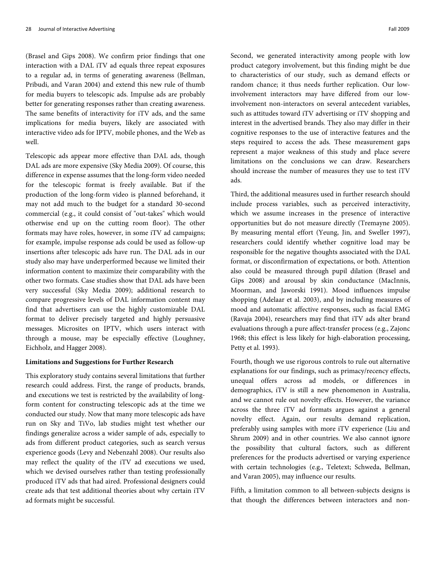(Brasel and Gips 2008). We confirm prior findings that one interaction with a DAL iTV ad equals three repeat exposures to a regular ad, in terms of generating awareness (Bellman, Pribudi, and Varan 2004) and extend this new rule of thumb for media buyers to telescopic ads. Impulse ads are probably better for generating responses rather than creating awareness. The same benefits of interactivity for iTV ads, and the same implications for media buyers, likely are associated with interactive video ads for IPTV, mobile phones, and the Web as well.

Telescopic ads appear more effective than DAL ads, though DAL ads are more expensive (Sky Media 2009). Of course, this difference in expense assumes that the long-form video needed for the telescopic format is freely available. But if the production of the long-form video is planned beforehand, it may not add much to the budget for a standard 30-second commercial (e.g., it could consist of "out-takes" which would otherwise end up on the cutting room floor). The other formats may have roles, however, in some iTV ad campaigns; for example, impulse response ads could be used as follow-up insertions after telescopic ads have run. The DAL ads in our study also may have underperformed because we limited their information content to maximize their comparability with the other two formats. Case studies show that DAL ads have been very successful (Sky Media 2009); additional research to compare progressive levels of DAL information content may find that advertisers can use the highly customizable DAL format to deliver precisely targeted and highly persuasive messages. Microsites on IPTV, which users interact with through a mouse, may be especially effective (Loughney, Eichholz, and Hagger 2008).

#### **Limitations and Suggestions for Further Research**

This exploratory study contains several limitations that further research could address. First, the range of products, brands, and executions we test is restricted by the availability of longform content for constructing telescopic ads at the time we conducted our study. Now that many more telescopic ads have run on Sky and TiVo, lab studies might test whether our findings generalize across a wider sample of ads, especially to ads from different product categories, such as search versus experience goods (Levy and Nebenzahl 2008). Our results also may reflect the quality of the iTV ad executions we used, which we devised ourselves rather than testing professionally produced iTV ads that had aired. Professional designers could create ads that test additional theories about why certain iTV ad formats might be successful.

Second, we generated interactivity among people with low product category involvement, but this finding might be due to characteristics of our study, such as demand effects or random chance; it thus needs further replication. Our lowinvolvement interactors may have differed from our lowinvolvement non-interactors on several antecedent variables, such as attitudes toward iTV advertising or iTV shopping and interest in the advertised brands. They also may differ in their cognitive responses to the use of interactive features and the steps required to access the ads. These measurement gaps represent a major weakness of this study and place severe limitations on the conclusions we can draw. Researchers should increase the number of measures they use to test iTV ads.

Third, the additional measures used in further research should include process variables, such as perceived interactivity, which we assume increases in the presence of interactive opportunities but do not measure directly (Tremayne 2005). By measuring mental effort (Yeung, Jin, and Sweller 1997), researchers could identify whether cognitive load may be responsible for the negative thoughts associated with the DAL format, or disconfirmation of expectations, or both. Attention also could be measured through pupil dilation (Brasel and Gips 2008) and arousal by skin conductance (MacInnis, Moorman, and Jaworski 1991). Mood influences impulse shopping (Adelaar et al. 2003), and by including measures of mood and automatic affective responses, such as facial EMG (Ravaja 2004), researchers may find that iTV ads alter brand evaluations through a pure affect-transfer process (e.g., Zajonc 1968; this effect is less likely for high-elaboration processing, Petty et al. 1993).

Fourth, though we use rigorous controls to rule out alternative explanations for our findings, such as primacy/recency effects, unequal offers across ad models, or differences in demographics, iTV is still a new phenomenon in Australia, and we cannot rule out novelty effects. However, the variance across the three iTV ad formats argues against a general novelty effect. Again, our results demand replication, preferably using samples with more iTV experience (Liu and Shrum 2009) and in other countries. We also cannot ignore the possibility that cultural factors, such as different preferences for the products advertised or varying experience with certain technologies (e.g., Teletext; Schweda, Bellman, and Varan 2005), may influence our results.

Fifth, a limitation common to all between-subjects designs is that though the differences between interactors and non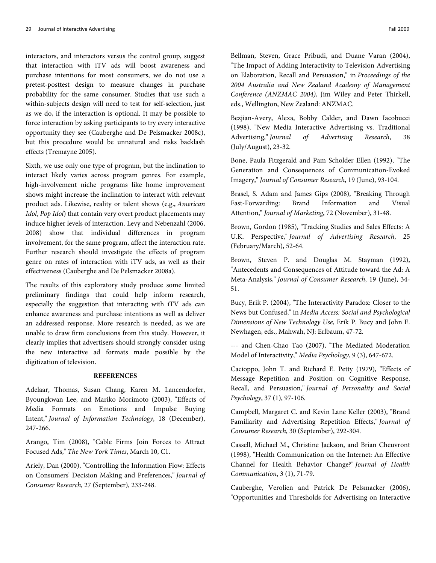interactors, and interactors versus the control group, suggest that interaction with iTV ads will boost awareness and purchase intentions for most consumers, we do not use a pretest-posttest design to measure changes in purchase probability for the same consumer. Studies that use such a within-subjects design will need to test for self-selection, just as we do, if the interaction is optional. It may be possible to force interaction by asking participants to try every interactive opportunity they see (Cauberghe and De Pelsmacker 2008c), but this procedure would be unnatural and risks backlash effects (Tremayne 2005).

Sixth, we use only one type of program, but the inclination to interact likely varies across program genres. For example, high-involvement niche programs like home improvement shows might increase the inclination to interact with relevant product ads. Likewise, reality or talent shows (e.g., *American Idol*, *Pop Idol*) that contain very overt product placements may induce higher levels of interaction. Levy and Nebenzahl (2006, 2008) show that individual differences in program involvement, for the same program, affect the interaction rate. Further research should investigate the effects of program genre on rates of interaction with iTV ads, as well as their effectiveness (Cauberghe and De Pelsmacker 2008a).

The results of this exploratory study produce some limited preliminary findings that could help inform research, especially the suggestion that interacting with iTV ads can enhance awareness and purchase intentions as well as deliver an addressed response. More research is needed, as we are unable to draw firm conclusions from this study. However, it clearly implies that advertisers should strongly consider using the new interactive ad formats made possible by the digitization of television.

# **REFERENCES**

Adelaar, Thomas, Susan Chang, Karen M. Lancendorfer, Byoungkwan Lee, and Mariko Morimoto (2003), "Effects of Media Formats on Emotions and Impulse Buying Intent," *Journal of Information Technology*, 18 (December), 247-266.

Arango, Tim (2008), "Cable Firms Join Forces to Attract Focused Ads," *The New York Times*, March 10, C1.

Ariely, Dan (2000), "Controlling the Information Flow: Effects on Consumers' Decision Making and Preferences," *Journal of Consumer Research*, 27 (September), 233-248.

Bellman, Steven, Grace Pribudi, and Duane Varan (2004), "The Impact of Adding Interactivity to Television Advertising on Elaboration, Recall and Persuasion," in *Proceedings of the 2004 Australia and New Zealand Academy of Management Conference (ANZMAC 2004)*, Jim Wiley and Peter Thirkell, eds., Wellington, New Zealand: ANZMAC.

Bezjian-Avery, Alexa, Bobby Calder, and Dawn Iacobucci (1998), "New Media Interactive Advertising vs. Traditional Advertising," *Journal of Advertising Research*, 38 (July/August), 23-32.

Bone, Paula Fitzgerald and Pam Scholder Ellen (1992), "The Generation and Consequences of Communication-Evoked Imagery," *Journal of Consumer Research*, 19 (June), 93-104.

Brasel, S. Adam and James Gips (2008), "Breaking Through Fast-Forwarding: Brand Information and Visual Attention," *Journal of Marketing*, 72 (November), 31-48.

Brown, Gordon (1985), "Tracking Studies and Sales Effects: A U.K. Perspective," *Journal of Advertising Research*, 25 (February/March), 52-64.

Brown, Steven P. and Douglas M. Stayman (1992), "Antecedents and Consequences of Attitude toward the Ad: A Meta-Analysis," *Journal of Consumer Research*, 19 (June), 34- 51.

Bucy, Erik P. (2004), "The Interactivity Paradox: Closer to the News but Confused," in *Media Access: Social and Psychological Dimensions of New Technology Use*, Erik P. Bucy and John E. Newhagen, eds., Mahwah, NJ: Erlbaum, 47-72.

--- and Chen-Chao Tao (2007), "The Mediated Moderation Model of Interactivity," *Media Psychology*, 9 (3), 647-672.

Cacioppo, John T. and Richard E. Petty (1979), "Effects of Message Repetition and Position on Cognitive Response, Recall, and Persuasion," *Journal of Personality and Social Psychology*, 37 (1), 97-106.

Campbell, Margaret C. and Kevin Lane Keller (2003), "Brand Familiarity and Advertising Repetition Effects," *Journal of Consumer Research*, 30 (September), 292-304.

Cassell, Michael M., Christine Jackson, and Brian Cheuvront (1998), "Health Communication on the Internet: An Effective Channel for Health Behavior Change?" *Journal of Health Communication*, 3 (1), 71-79.

Cauberghe, Verolien and Patrick De Pelsmacker (2006), "Opportunities and Thresholds for Advertising on Interactive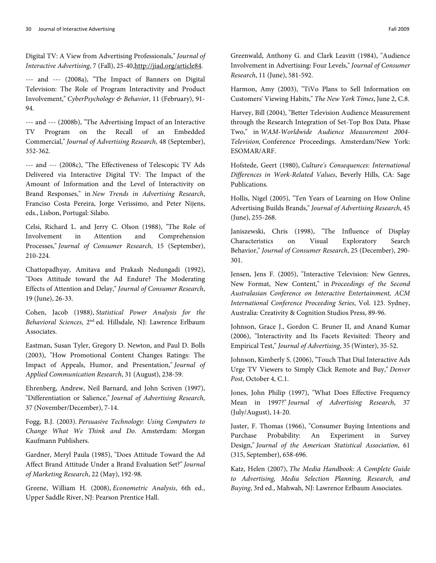Digital TV: A View from Advertising Professionals," *Journal of*  Interactive Advertising, 7 (Fall), 25-40, [http://jiad.org/article84.](http://jiad.org/article84)

--- and --- (2008a), "The Impact of Banners on Digital Television: The Role of Program Interactivity and Product Involvement," *CyberPsychology & Behavior*, 11 (February), 91- 94.

--- and --- (2008b), "The Advertising Impact of an Interactive TV Program on the Recall of an Embedded Commercial," *Journal of Advertising Research*, 48 (September), 352-362.

--- and --- (2008c), "The Effectiveness of Telescopic TV Ads Delivered via Interactive Digital TV: The Impact of the Amount of Information and the Level of Interactivity on Brand Responses," in *New Trends in Advertising Research*, Franciso Costa Pereira, Jorge Verissimo, and Peter Nijens, eds., Lisbon, Portugal: Silabo.

Celsi, Richard L. and Jerry C. Olson (1988), "The Role of Involvement in Attention and Comprehension Processes," *Journal of Consumer Research*, 15 (September), 210-224.

Chattopadhyay, Amitava and Prakash Nedungadi (1992), "Does Attitude toward the Ad Endure? The Moderating Effects of Attention and Delay," *Journal of Consumer Research*, 19 (June), 26-33.

Cohen, Jacob (1988), *Statistical Power Analysis for the Behavioral Sciences*, 2nd ed. Hillsdale, NJ: Lawrence Erlbaum Associates.

Eastman, Susan Tyler, Gregory D. Newton, and Paul D. Bolls (2003), "How Promotional Content Changes Ratings: The Impact of Appeals, Humor, and Presentation," *Journal of Applied Communication Research*, 31 (August), 238-59.

Ehrenberg, Andrew, Neil Barnard, and John Scriven (1997), "Differentiation or Salience," *Journal of Advertising Research*, 37 (November/December), 7-14.

Fogg, B.J. (2003). *Persuasive Technology: Using Computers to Change What We Think and Do*. Amsterdam: Morgan Kaufmann Publishers.

Gardner, Meryl Paula (1985), "Does Attitude Toward the Ad Affect Brand Attitude Under a Brand Evaluation Set?" *Journal of Marketing Research*, 22 (May), 192-98.

Greene, William H. (2008), *Econometric Analysis*, 6th ed., Upper Saddle River, NJ: Pearson Prentice Hall.

Greenwald, Anthony G. and Clark Leavitt (1984), "Audience Involvement in Advertising: Four Levels," *Journal of Consumer Research*, 11 (June), 581-592.

Harmon, Amy (2003), "TiVo Plans to Sell Information on Customers' Viewing Habits," *The New York Times*, June 2, C.8.

Harvey, Bill (2004), "Better Television Audience Measurement through the Research Integration of Set-Top Box Data. Phase Two," in *WAM-Worldwide Audience Measurement 2004- Television,* Conference Proceedings. Amsterdam/New York: ESOMAR/ARF.

Hofstede, Geert (1980), *Culture's Consequences: International Differences in Work-Related Values*, Beverly Hills, CA: Sage Publications.

Hollis, Nigel (2005), "Ten Years of Learning on How Online Advertising Builds Brands," *Journal of Advertising Research*, 45 (June), 255-268.

Janiszewski, Chris (1998), "The Influence of Display Characteristics on Visual Exploratory Search Behavior," *Journal of Consumer Research*, 25 (December), 290- 301.

Jensen, Jens F. (2005), "Interactive Television: New Genres, New Format, New Content," in *Proceedings of the Second Australasian Conference on Interactive Entertainment, ACM International Conference Proceeding Series*, Vol. 123. Sydney, Australia: Creativity & Cognition Studios Press, 89-96.

Johnson, Grace J., Gordon C. Bruner II, and Anand Kumar (2006), "Interactivity and Its Facets Revisited: Theory and Empirical Test," *Journal of Advertising*, 35 (Winter), 35-52.

Johnson, Kimberly S. (2006), "Touch That Dial Interactive Ads Urge TV Viewers to Simply Click Remote and Buy," *Denver Post*, October 4, C.1.

Jones, John Philip (1997), "What Does Effective Frequency Mean in 1997?" *Journal of Advertising Research*, 37 (July/August), 14-20.

Juster, F. Thomas (1966), "Consumer Buying Intentions and Purchase Probability: An Experiment in Survey Design," *Journal of the American Statistical Association*, 61 (315, September), 658-696.

Katz, Helen (2007), *The Media Handbook: A Complete Guide to Advertising, Media Selection Planning, Research, and Buying*, 3rd ed., Mahwah, NJ: Lawrence Erlbaum Associates.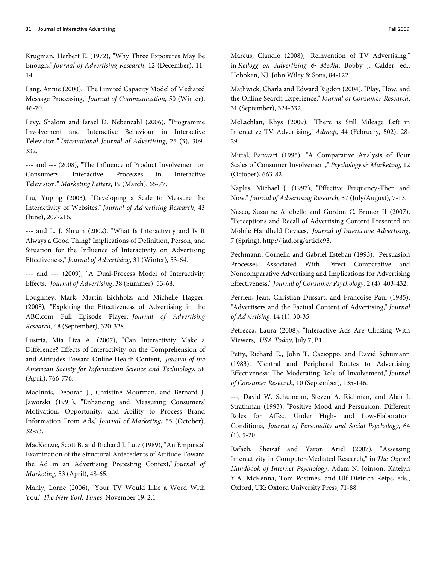Krugman, Herbert E. (1972), "Why Three Exposures May Be Enough," *Journal of Advertising Research*, 12 (December), 11- 14.

Lang, Annie (2000), "The Limited Capacity Model of Mediated Message Processing," *Journal of Communication*, 50 (Winter), 46-70.

Levy, Shalom and Israel D. Nebenzahl (2006), "Programme Involvement and Interactive Behaviour in Interactive Television," *International Journal of Advertising*, 25 (3), 309- 332.

--- and --- (2008), "The Influence of Product Involvement on Consumers' Interactive Processes in Interactive Television," *Marketing Letters*, 19 (March), 65-77.

Liu, Yuping (2003), "Developing a Scale to Measure the Interactivity of Websites," *Journal of Advertising Research*, 43 (June), 207-216.

--- and L. J. Shrum (2002), "What Is Interactivity and Is It Always a Good Thing? Implications of Definition, Person, and Situation for the Influence of Interactivity on Advertising Effectiveness," *Journal of Advertising*, 31 (Winter), 53-64.

--- and --- (2009), "A Dual-Process Model of Interactivity Effects," *Journal of Advertising*, 38 (Summer), 53-68.

Loughney, Mark, Martin Eichholz, and Michelle Hagger. (2008), "Exploring the Effectiveness of Advertising in the ABC.com Full Episode Player," *Journal of Advertising Research*, 48 (September), 320-328.

Lustria, Mia Liza A. (2007), "Can Interactivity Make a Difference? Effects of Interactivity on the Comprehension of and Attitudes Toward Online Health Content," *Journal of the American Society for Information Science and Technology*, 58 (April), 766-776.

MacInnis, Deborah J., Christine Moorman, and Bernard J. Jaworski (1991), "Enhancing and Measuring Consumers' Motivation, Opportunity, and Ability to Process Brand Information From Ads," *Journal of Marketing*, 55 (October), 32-53.

MacKenzie, Scott B. and Richard J. Lutz (1989), "An Empirical Examination of the Structural Antecedents of Attitude Toward the Ad in an Advertising Pretesting Context," *Journal of Marketing*, 53 (April), 48-65.

Manly, Lorne (2006), "Your TV Would Like a Word With You," *The New York Times*, November 19, 2.1

Marcus, Claudio (2008), "Reinvention of TV Advertising," in *Kellogg on Advertising & Media*, Bobby J. Calder, ed., Hoboken, NJ: John Wiley & Sons, 84-122.

Mathwick, Charla and Edward Rigdon (2004), "Play, Flow, and the Online Search Experience," *Journal of Consumer Research*, 31 (September), 324-332.

McLachlan, Rhys (2009), "There is Still Mileage Left in Interactive TV Advertising," *Admap*, 44 (February, 502), 28- 29.

Mittal, Banwari (1995), "A Comparative Analysis of Four Scales of Consumer Involvement," *Psychology & Marketing*, 12 (October), 663-82.

Naples, Michael J. (1997), "Effective Frequency-Then and Now," *Journal of Advertising Research*, 37 (July/August), 7-13.

Nasco, Suzanne Altobello and Gordon C. Bruner II (2007), "Perceptions and Recall of Advertising Content Presented on Mobile Handheld Devices," *Journal of Interactive Advertising*, 7 (Spring),<http://jiad.org/article93>.

Pechmann, Cornelia and Gabriel Esteban (1993), "Persuasion Processes Associated With Direct Comparative and Noncomparative Advertising and Implications for Advertising Effectiveness," *Journal of Consumer Psychology*, 2 (4), 403-432.

Perrien, Jean, Christian Dussart, and Françoise Paul (1985), "Advertisers and the Factual Content of Advertising," *Journal of Advertising*, 14 (1), 30-35.

Petrecca, Laura (2008), "Interactive Ads Are Clicking With Viewers," *USA Today*, July 7, B1.

Petty, Richard E., John T. Cacioppo, and David Schumann (1983), "Central and Peripheral Routes to Advertising Effectiveness: The Moderating Role of Involvement," *Journal of Consumer Research*, 10 (September), 135-146.

---, David W. Schumann, Steven A. Richman, and Alan J. Strathman (1993), "Positive Mood and Persuasion: Different Roles for Affect Under High- and Low-Elaboration Conditions," *Journal of Personality and Social Psychology*, 64 (1), 5-20.

Rafaeli, Sheizaf and Yaron Ariel (2007), "Assessing Interactivity in Computer-Mediated Research," in *The Oxford Handbook of Internet Psychology*, Adam N. Joinson, Katelyn Y.A. McKenna, Tom Postmes, and Ulf-Dietrich Reips, eds., Oxford, UK: Oxford University Press, 71-88.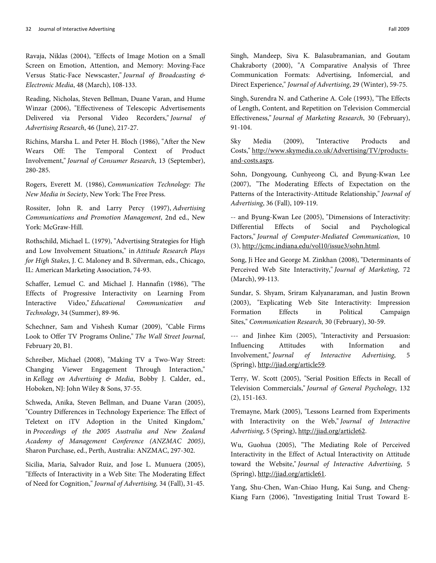Ravaja, Niklas (2004), "Effects of Image Motion on a Small Screen on Emotion, Attention, and Memory: Moving-Face Versus Static-Face Newscaster," *Journal of Broadcasting & Electronic Media*, 48 (March), 108-133.

Reading, Nicholas, Steven Bellman, Duane Varan, and Hume Winzar (2006), "Effectiveness of Telescopic Advertisements Delivered via Personal Video Recorders," *Journal of Advertising Research*, 46 (June), 217-27.

Richins, Marsha L. and Peter H. Bloch (1986), "After the New Wears Off: The Temporal Context of Product Involvement," *Journal of Consumer Research*, 13 (September), 280-285.

Rogers, Everett M. (1986), *Communication Technology: The New Media in Society*, New York: The Free Press.

Rossiter, John R. and Larry Percy (1997), *Advertising Communications and Promotion Management*, 2nd ed., New York: McGraw-Hill.

Rothschild, Michael L. (1979), "Advertising Strategies for High and Low Involvement Situations," in *Attitude Research Plays for High Stakes*, J. C. Maloney and B. Silverman, eds., Chicago, IL: American Marketing Association, 74-93.

Schaffer, Lemuel C. and Michael J. Hannafin (1986), "The Effects of Progressive Interactivity on Learning From Interactive Video," *Educational Communication and Technology*, 34 (Summer), 89-96.

Schechner, Sam and Vishesh Kumar (2009), "Cable Firms Look to Offer TV Programs Online," *The Wall Street Journal*, February 20, B1.

Schreiber, Michael (2008), "Making TV a Two-Way Street: Changing Viewer Engagement Through Interaction," in *Kellogg on Advertising & Media*, Bobby J. Calder, ed., Hoboken, NJ: John Wiley & Sons, 37-55.

Schweda, Anika, Steven Bellman, and Duane Varan (2005), "Country Differences in Technology Experience: The Effect of Teletext on iTV Adoption in the United Kingdom," in *Proceedings of the 2005 Australia and New Zealand Academy of Management Conference (ANZMAC 2005)*, Sharon Purchase, ed., Perth, Australia: ANZMAC, 297-302.

Sicilia, Maria, Salvador Ruiz, and Jose L. Munuera (2005), "Effects of Interactivity in a Web Site: The Moderating Effect of Need for Cognition," *Journal of Advertising,* 34 (Fall), 31-45.

Singh, Mandeep, Siva K. Balasubramanian, and Goutam Chakraborty (2000), "A Comparative Analysis of Three Communication Formats: Advertising, Infomercial, and Direct Experience," *Journal of Advertising*, 29 (Winter), 59-75.

Singh, Surendra N. and Catherine A. Cole (1993), "The Effects of Length, Content, and Repetition on Television Commercial Effectiveness," *Journal of Marketing Research*, 30 (February), 91-104.

Sky Media (2009), "Interactive Products and Costs," [http://www.skymedia.co.uk/Advertising/TV/products](http://www.skymedia.co.uk/Advertising/TV/products-and-costs.aspx)[and-costs.aspx.](http://www.skymedia.co.uk/Advertising/TV/products-and-costs.aspx)

Sohn, Dongyoung, Cunhyeong Ci, and Byung-Kwan Lee (2007), "The Moderating Effects of Expectation on the Patterns of the Interactivity-Attitude Relationship," *Journal of Advertising*, 36 (Fall), 109-119.

-- and Byung-Kwan Lee (2005), "Dimensions of Interactivity: Differential Effects of Social and Psychological Factors," *Journal of Computer-Mediated Communication*, 10 (3),<http://jcmc.indiana.edu/vol10/issue3/sohn.html>.

Song, Ji Hee and George M. Zinkhan (2008), "Determinants of Perceived Web Site Interactivity," *Journal of Marketing*, 72 (March), 99-113.

Sundar, S. Shyam, Sriram Kalyanaraman, and Justin Brown (2003), "Explicating Web Site Interactivity: Impression Formation Effects in Political Campaign Sites," *Communication Research,* 30 (February), 30-59.

--- and Jinhee Kim (2005), "Interactivity and Persuasion: Influencing Attitudes with Information and Involvement," *Journal of Interactive Advertising*, 5 (Spring),<http://jiad.org/article59>.

Terry, W. Scott (2005), "Serial Position Effects in Recall of Television Commercials," *Journal of General Psychology*, 132 (2), 151-163.

Tremayne, Mark (2005), "Lessons Learned from Experiments with Interactivity on the Web," *Journal of Interactive Advertising*, 5 (Spring), [http://jiad.org/article62.](http://jiad.org/article62)

Wu, Guohua (2005), "The Mediating Role of Perceived Interactivity in the Effect of Actual Interactivity on Attitude toward the Website," *Journal of Interactive Advertising*, 5 (Spring),<http://jiad.org/article61>.

Yang, Shu-Chen, Wan-Chiao Hung, Kai Sung, and Cheng-Kiang Farn (2006), "Investigating Initial Trust Toward E-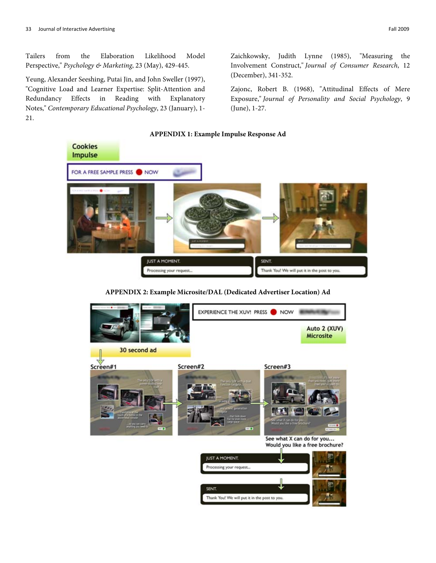Tailers from the Elaboration Likelihood Model Perspective," *Psychology & Marketing*, 23 (May), 429-445.

(December), 341-352. Yeung, Alexander Seeshing, Putai Jin, and John Sweller (1997), "Cognitive Load and Learner Expertise: Split-Attention and Redundancy Effects in Reading with Explanatory Notes," *Contemporary Educational Psychology*, 23 (January), 1- 21.

### **APPENDIX 1: Example Impulse Response Ad**



## **APPENDIX 2: Example Microsite/DAL (Dedicated Advertiser Location) Ad**



Zaichkowsky, Judith Lynne (1985), "Measuring the Involvement Construct," *Journal of Consumer Research*, 12

Zajonc, Robert B. (1968), "Attitudinal Effects of Mere Exposure," *Journal of Personality and Social Psychology*, 9 (June), 1-27.